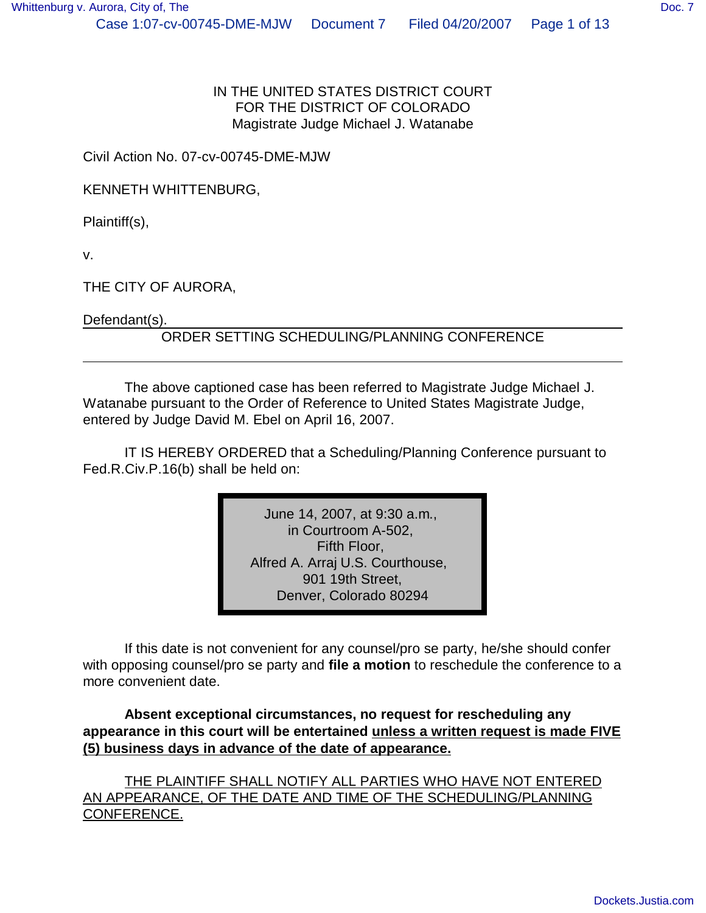#### IN THE UNITED STATES DISTRICT COURT FOR THE DISTRICT OF COLORADO Magistrate Judge Michael J. Watanabe

Civil Action No. 07-cv-00745-DME-MJW

KENNETH WHITTENBURG,

Plaintiff(s),

v.

THE CITY OF AURORA,

Defendant(s).

### ORDER SETTING SCHEDULING/PLANNING CONFERENCE

The above captioned case has been referred to Magistrate Judge Michael J. Watanabe pursuant to the Order of Reference to United States Magistrate Judge, entered by Judge David M. Ebel on April 16, 2007.

IT IS HEREBY ORDERED that a Scheduling/Planning Conference pursuant to Fed.R.Civ.P.16(b) shall be held on:

> June 14, 2007, at 9:30 a.m., in Courtroom A-502, Fifth Floor, Alfred A. Arraj U.S. Courthouse, 901 19th Street, Denver, Colorado 80294

If this date is not convenient for any counsel/pro se party, he/she should confer with opposing counsel/pro se party and **file a motion** to reschedule the conference to a more convenient date.

**Absent exceptional circumstances, no request for rescheduling any appearance in this court will be entertained unless a written request is made FIVE (5) business days in advance of the date of appearance.**

THE PLAINTIFF SHALL NOTIFY ALL PARTIES WHO HAVE NOT ENTERED AN APPEARANCE, OF THE DATE AND TIME OF THE SCHEDULING/PLANNING CONFERENCE.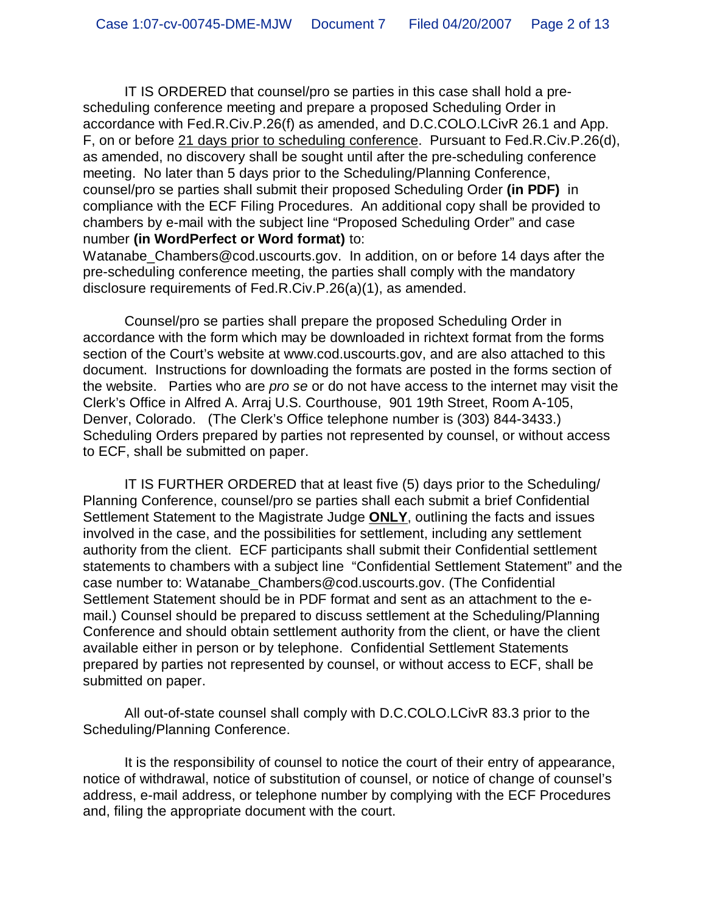IT IS ORDERED that counsel/pro se parties in this case shall hold a prescheduling conference meeting and prepare a proposed Scheduling Order in accordance with Fed.R.Civ.P.26(f) as amended, and D.C.COLO.LCivR 26.1 and App. F, on or before 21 days prior to scheduling conference. Pursuant to Fed.R.Civ.P.26(d), as amended, no discovery shall be sought until after the pre-scheduling conference meeting. No later than 5 days prior to the Scheduling/Planning Conference, counsel/pro se parties shall submit their proposed Scheduling Order **(in PDF)** in compliance with the ECF Filing Procedures. An additional copy shall be provided to chambers by e-mail with the subject line "Proposed Scheduling Order" and case number **(in WordPerfect or Word format)** to:

Watanabe Chambers@cod.uscourts.gov. In addition, on or before 14 days after the pre-scheduling conference meeting, the parties shall comply with the mandatory disclosure requirements of Fed.R.Civ.P.26(a)(1), as amended.

Counsel/pro se parties shall prepare the proposed Scheduling Order in accordance with the form which may be downloaded in richtext format from the forms section of the Court's website at www.cod.uscourts.gov, and are also attached to this document. Instructions for downloading the formats are posted in the forms section of the website. Parties who are *pro se* or do not have access to the internet may visit the Clerk's Office in Alfred A. Arraj U.S. Courthouse, 901 19th Street, Room A-105, Denver, Colorado. (The Clerk's Office telephone number is (303) 844-3433.) Scheduling Orders prepared by parties not represented by counsel, or without access to ECF, shall be submitted on paper.

IT IS FURTHER ORDERED that at least five (5) days prior to the Scheduling/ Planning Conference, counsel/pro se parties shall each submit a brief Confidential Settlement Statement to the Magistrate Judge **ONLY**, outlining the facts and issues involved in the case, and the possibilities for settlement, including any settlement authority from the client. ECF participants shall submit their Confidential settlement statements to chambers with a subject line "Confidential Settlement Statement" and the case number to: Watanabe\_Chambers@cod.uscourts.gov. (The Confidential Settlement Statement should be in PDF format and sent as an attachment to the email.) Counsel should be prepared to discuss settlement at the Scheduling/Planning Conference and should obtain settlement authority from the client, or have the client available either in person or by telephone. Confidential Settlement Statements prepared by parties not represented by counsel, or without access to ECF, shall be submitted on paper.

All out-of-state counsel shall comply with D.C.COLO.LCivR 83.3 prior to the Scheduling/Planning Conference.

It is the responsibility of counsel to notice the court of their entry of appearance, notice of withdrawal, notice of substitution of counsel, or notice of change of counsel's address, e-mail address, or telephone number by complying with the ECF Procedures and, filing the appropriate document with the court.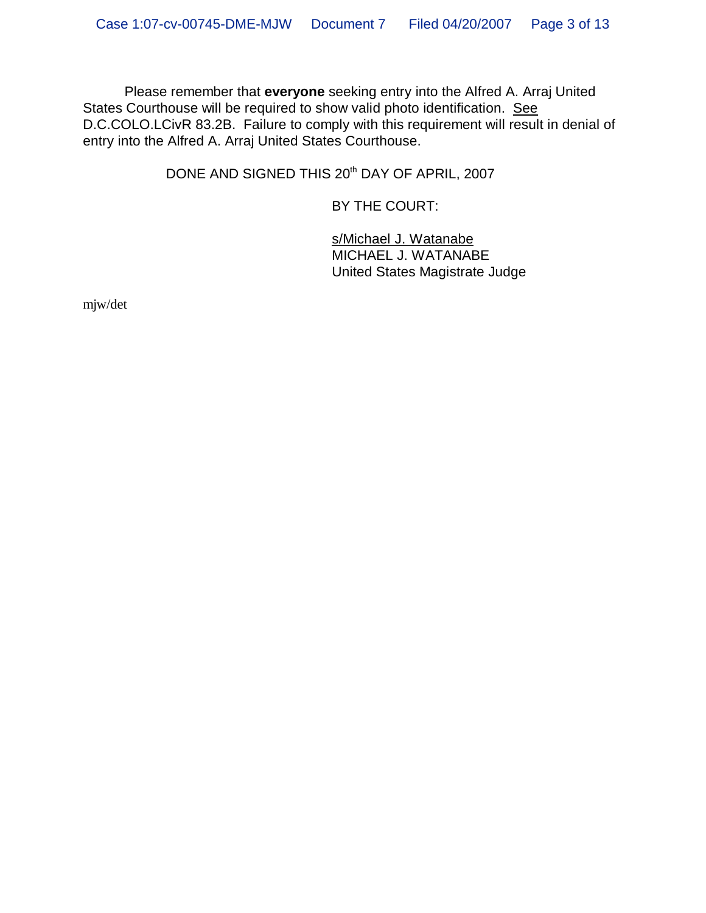Please remember that **everyone** seeking entry into the Alfred A. Arraj United States Courthouse will be required to show valid photo identification. See D.C.COLO.LCivR 83.2B. Failure to comply with this requirement will result in denial of entry into the Alfred A. Arraj United States Courthouse.

DONE AND SIGNED THIS 20<sup>th</sup> DAY OF APRIL, 2007

BY THE COURT:

s/Michael J. Watanabe MICHAEL J. WATANABE United States Magistrate Judge

mjw/det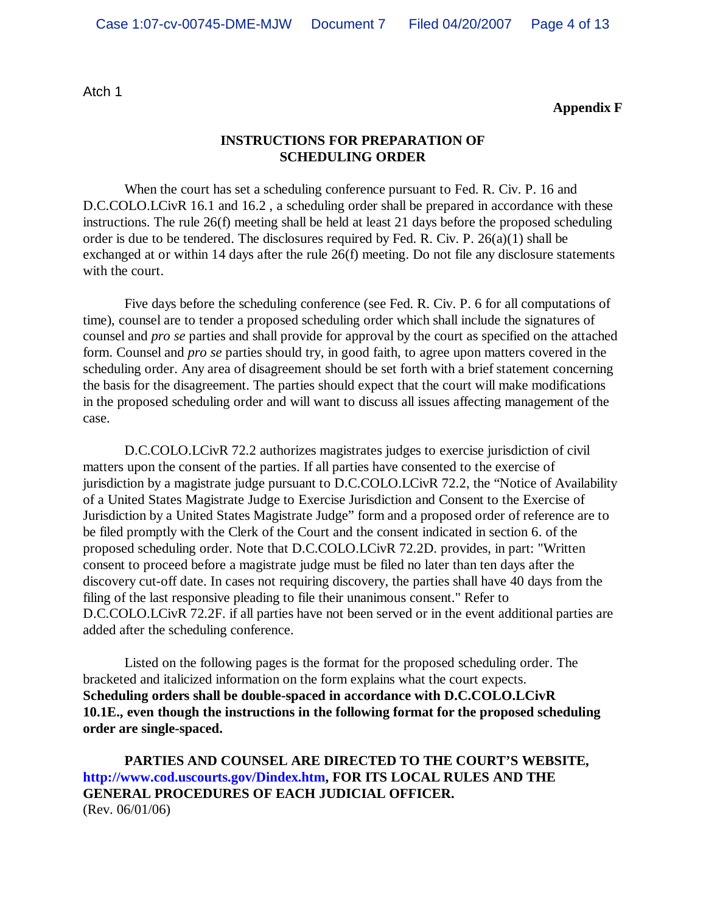Atch 1

**Appendix F**

#### **INSTRUCTIONS FOR PREPARATION OF SCHEDULING ORDER**

When the court has set a scheduling conference pursuant to Fed. R. Civ. P. 16 and D.C.COLO.LCivR 16.1 and 16.2, a scheduling order shall be prepared in accordance with these instructions. The rule 26(f) meeting shall be held at least 21 days before the proposed scheduling order is due to be tendered. The disclosures required by Fed. R. Civ. P. 26(a)(1) shall be exchanged at or within 14 days after the rule 26(f) meeting. Do not file any disclosure statements with the court.

Five days before the scheduling conference (see Fed. R. Civ. P. 6 for all computations of time), counsel are to tender a proposed scheduling order which shall include the signatures of counsel and *pro se* parties and shall provide for approval by the court as specified on the attached form. Counsel and *pro se* parties should try, in good faith, to agree upon matters covered in the scheduling order. Any area of disagreement should be set forth with a brief statement concerning the basis for the disagreement. The parties should expect that the court will make modifications in the proposed scheduling order and will want to discuss all issues affecting management of the case.

D.C.COLO.LCivR 72.2 authorizes magistrates judges to exercise jurisdiction of civil matters upon the consent of the parties. If all parties have consented to the exercise of jurisdiction by a magistrate judge pursuant to D.C.COLO.LCivR 72.2, the "Notice of Availability of a United States Magistrate Judge to Exercise Jurisdiction and Consent to the Exercise of Jurisdiction by a United States Magistrate Judge" form and a proposed order of reference are to be filed promptly with the Clerk of the Court and the consent indicated in section 6. of the proposed scheduling order. Note that D.C.COLO.LCivR 72.2D. provides, in part: "Written consent to proceed before a magistrate judge must be filed no later than ten days after the discovery cut-off date. In cases not requiring discovery, the parties shall have 40 days from the filing of the last responsive pleading to file their unanimous consent." Refer to D.C.COLO.LCivR 72.2F. if all parties have not been served or in the event additional parties are added after the scheduling conference.

Listed on the following pages is the format for the proposed scheduling order. The bracketed and italicized information on the form explains what the court expects. **Scheduling orders shall be double-spaced in accordance with D.C.COLO.LCivR 10.1E., even though the instructions in the following format for the proposed scheduling order are single-spaced.**

**PARTIES AND COUNSEL ARE DIRECTED TO THE COURT'S WEBSITE, http://www.cod.uscourts.gov/Dindex.htm, FOR ITS LOCAL RULES AND THE GENERAL PROCEDURES OF EACH JUDICIAL OFFICER.** (Rev. 06/01/06)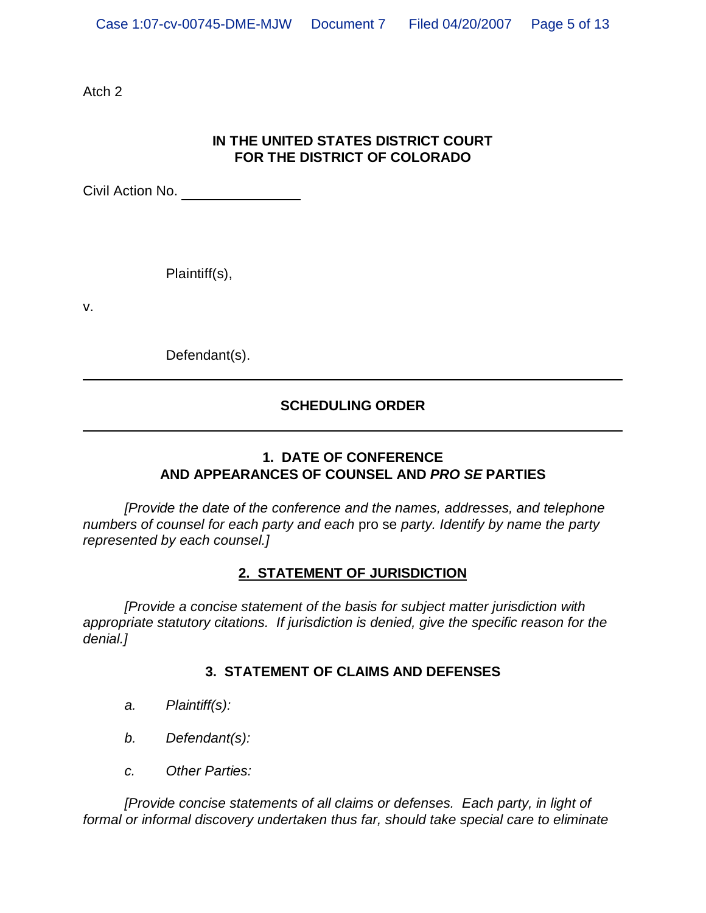Atch 2

# **IN THE UNITED STATES DISTRICT COURT FOR THE DISTRICT OF COLORADO**

Civil Action No.

Plaintiff(s),

v.

Defendant(s).

# **SCHEDULING ORDER**

# **1. DATE OF CONFERENCE AND APPEARANCES OF COUNSEL AND** *PRO SE* **PARTIES**

*[Provide the date of the conference and the names, addresses, and telephone numbers of counsel for each party and each* pro se *party. Identify by name the party represented by each counsel.]*

#### **2. STATEMENT OF JURISDICTION**

*[Provide a concise statement of the basis for subject matter jurisdiction with appropriate statutory citations. If jurisdiction is denied, give the specific reason for the denial.]*

### **3. STATEMENT OF CLAIMS AND DEFENSES**

- *a. Plaintiff(s):*
- *b. Defendant(s):*
- *c. Other Parties:*

*[Provide concise statements of all claims or defenses. Each party, in light of formal or informal discovery undertaken thus far, should take special care to eliminate*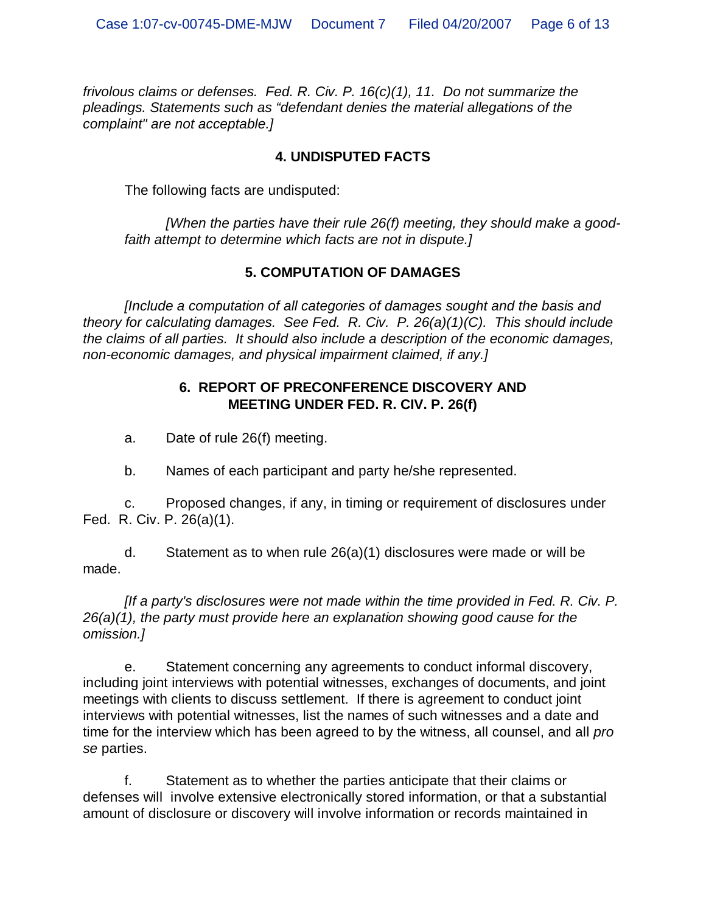*frivolous claims or defenses. Fed. R. Civ. P. 16(c)(1), 11. Do not summarize the pleadings. Statements such as "defendant denies the material allegations of the complaint" are not acceptable.]*

### **4. UNDISPUTED FACTS**

The following facts are undisputed:

*[When the parties have their rule 26(f) meeting, they should make a goodfaith attempt to determine which facts are not in dispute.]*

### **5. COMPUTATION OF DAMAGES**

*[Include a computation of all categories of damages sought and the basis and theory for calculating damages. See Fed. R. Civ. P. 26(a)(1)(C). This should include the claims of all parties. It should also include a description of the economic damages, non-economic damages, and physical impairment claimed, if any.]*

### **6. REPORT OF PRECONFERENCE DISCOVERY AND MEETING UNDER FED. R. CIV. P. 26(f)**

a. Date of rule 26(f) meeting.

b. Names of each participant and party he/she represented.

c. Proposed changes, if any, in timing or requirement of disclosures under Fed. R. Civ. P. 26(a)(1).

d. Statement as to when rule 26(a)(1) disclosures were made or will be made.

*[If a party's disclosures were not made within the time provided in Fed. R. Civ. P. 26(a)(1), the party must provide here an explanation showing good cause for the omission.]*

e. Statement concerning any agreements to conduct informal discovery, including joint interviews with potential witnesses, exchanges of documents, and joint meetings with clients to discuss settlement. If there is agreement to conduct joint interviews with potential witnesses, list the names of such witnesses and a date and time for the interview which has been agreed to by the witness, all counsel, and all *pro se* parties.

f. Statement as to whether the parties anticipate that their claims or defenses will involve extensive electronically stored information, or that a substantial amount of disclosure or discovery will involve information or records maintained in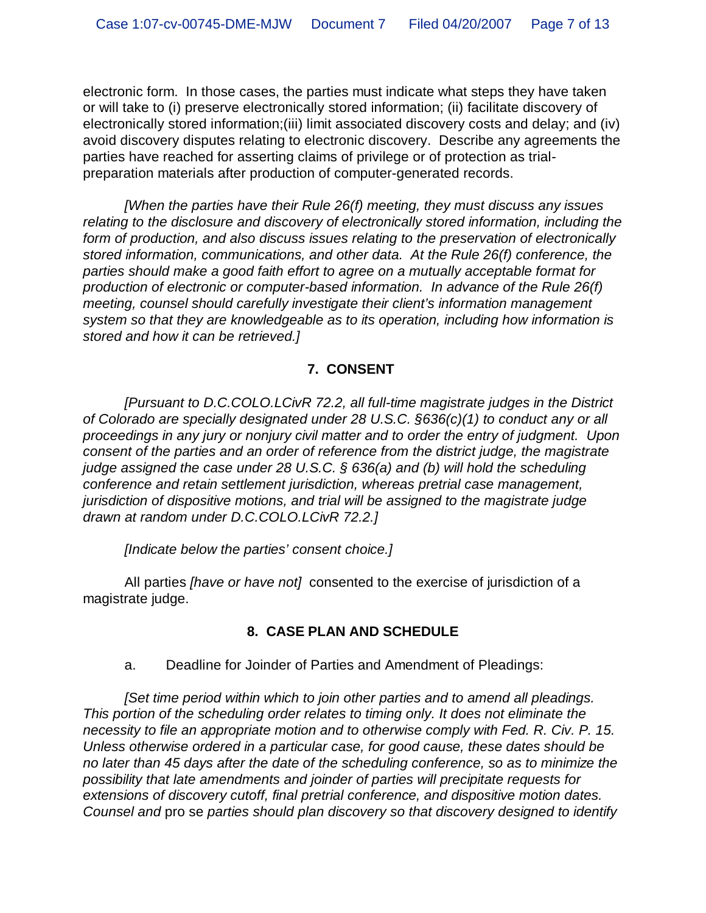electronic form. In those cases, the parties must indicate what steps they have taken or will take to (i) preserve electronically stored information; (ii) facilitate discovery of electronically stored information;(iii) limit associated discovery costs and delay; and (iv) avoid discovery disputes relating to electronic discovery. Describe any agreements the parties have reached for asserting claims of privilege or of protection as trialpreparation materials after production of computer-generated records.

*[When the parties have their Rule 26(f) meeting, they must discuss any issues relating to the disclosure and discovery of electronically stored information, including the form of production, and also discuss issues relating to the preservation of electronically stored information, communications, and other data. At the Rule 26(f) conference, the parties should make a good faith effort to agree on a mutually acceptable format for production of electronic or computer-based information. In advance of the Rule 26(f) meeting, counsel should carefully investigate their client's information management system so that they are knowledgeable as to its operation, including how information is stored and how it can be retrieved.]*

### **7. CONSENT**

*[Pursuant to D.C.COLO.LCivR 72.2, all full-time magistrate judges in the District of Colorado are specially designated under 28 U.S.C. §636(c)(1) to conduct any or all proceedings in any jury or nonjury civil matter and to order the entry of judgment. Upon consent of the parties and an order of reference from the district judge, the magistrate judge assigned the case under 28 U.S.C. § 636(a) and (b) will hold the scheduling conference and retain settlement jurisdiction, whereas pretrial case management, jurisdiction of dispositive motions, and trial will be assigned to the magistrate judge drawn at random under D.C.COLO.LCivR 72.2.]*

*[Indicate below the parties' consent choice.]*

All parties *[have or have not]* consented to the exercise of jurisdiction of a magistrate judge.

### **8. CASE PLAN AND SCHEDULE**

a. Deadline for Joinder of Parties and Amendment of Pleadings:

*[Set time period within which to join other parties and to amend all pleadings. This portion of the scheduling order relates to timing only. It does not eliminate the necessity to file an appropriate motion and to otherwise comply with Fed. R. Civ. P. 15. Unless otherwise ordered in a particular case, for good cause, these dates should be no later than 45 days after the date of the scheduling conference, so as to minimize the possibility that late amendments and joinder of parties will precipitate requests for extensions of discovery cutoff, final pretrial conference, and dispositive motion dates. Counsel and* pro se *parties should plan discovery so that discovery designed to identify*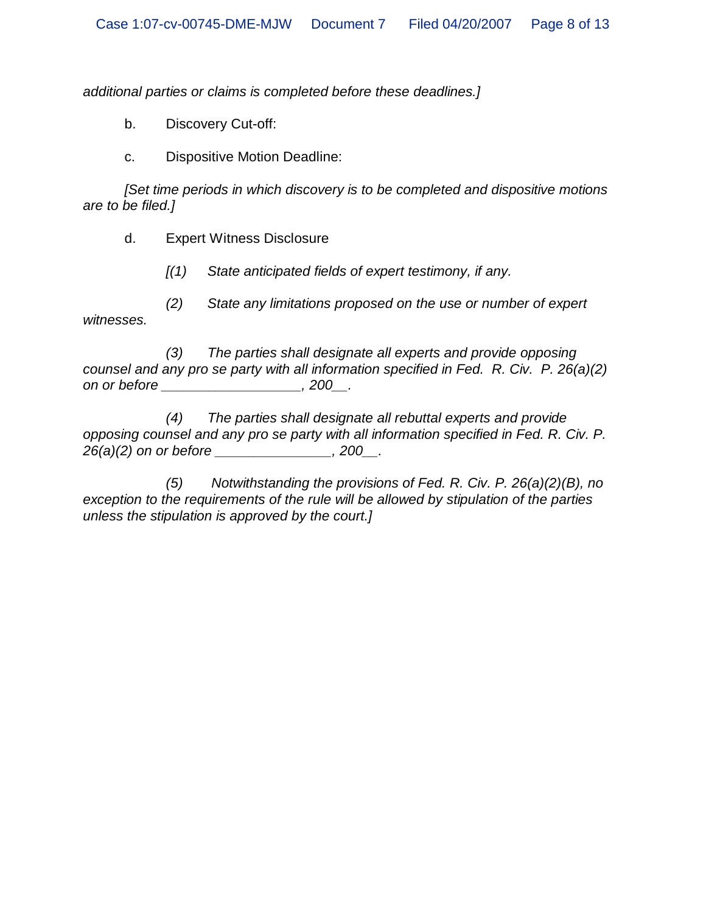*additional parties or claims is completed before these deadlines.]*

b. Discovery Cut-off:

c. Dispositive Motion Deadline:

*[Set time periods in which discovery is to be completed and dispositive motions are to be filed.]*

d. Expert Witness Disclosure

*[(1) State anticipated fields of expert testimony, if any.*

*(2) State any limitations proposed on the use or number of expert witnesses.*

*(3) The parties shall designate all experts and provide opposing counsel and any pro se party with all information specified in Fed. R. Civ. P. 26(a)(2) on or before \_\_\_\_\_\_\_\_\_\_\_\_\_\_\_\_\_\_, 200\_\_.*

*(4) The parties shall designate all rebuttal experts and provide opposing counsel and any pro se party with all information specified in Fed. R. Civ. P. 26(a)(2) on or before \_\_\_\_\_\_\_\_\_\_\_\_\_\_\_, 200\_\_.*

*(5) Notwithstanding the provisions of Fed. R. Civ. P. 26(a)(2)(B), no exception to the requirements of the rule will be allowed by stipulation of the parties unless the stipulation is approved by the court.]*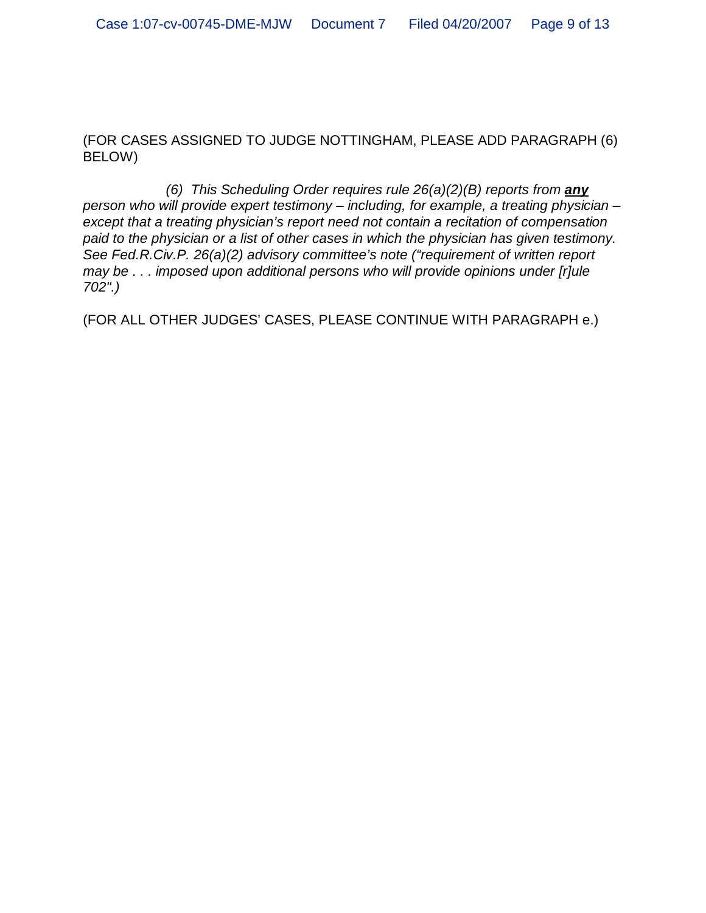(FOR CASES ASSIGNED TO JUDGE NOTTINGHAM, PLEASE ADD PARAGRAPH (6) BELOW)

*(6) This Scheduling Order requires rule 26(a)(2)(B) reports from any person who will provide expert testimony – including, for example, a treating physician – except that a treating physician's report need not contain a recitation of compensation paid to the physician or a list of other cases in which the physician has given testimony. See Fed.R.Civ.P. 26(a)(2) advisory committee's note ("requirement of written report may be . . . imposed upon additional persons who will provide opinions under [r]ule 702".)*

(FOR ALL OTHER JUDGES' CASES, PLEASE CONTINUE WITH PARAGRAPH e.)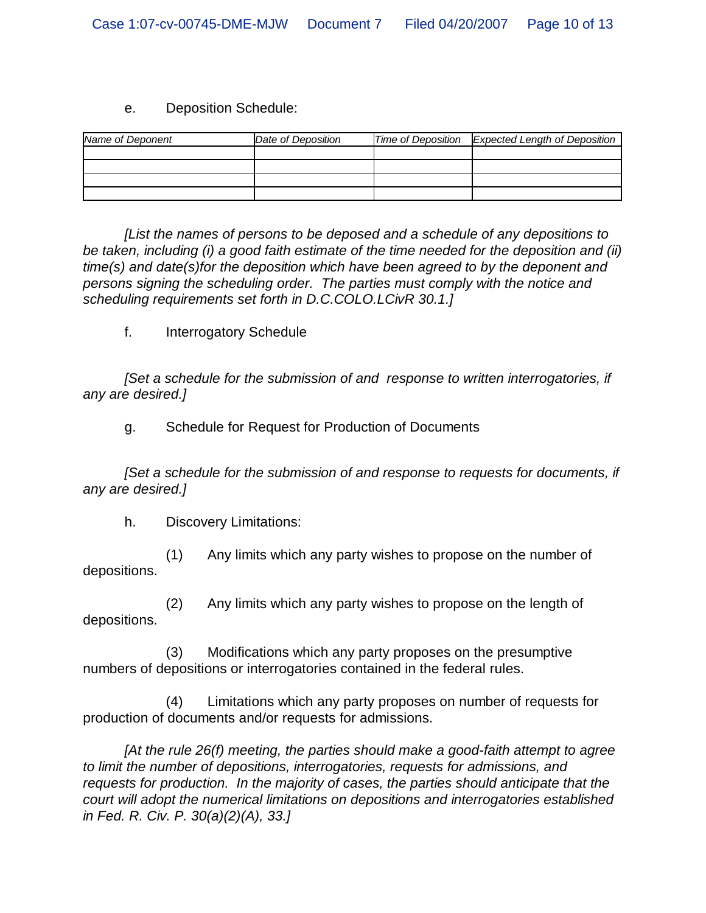#### e. Deposition Schedule:

| Name of Deponent | Date of Deposition | Time of Deposition Expected Length of Deposition |
|------------------|--------------------|--------------------------------------------------|
|                  |                    |                                                  |
|                  |                    |                                                  |
|                  |                    |                                                  |
|                  |                    |                                                  |

*[List the names of persons to be deposed and a schedule of any depositions to be taken, including (i) a good faith estimate of the time needed for the deposition and (ii) time(s) and date(s)for the deposition which have been agreed to by the deponent and persons signing the scheduling order. The parties must comply with the notice and scheduling requirements set forth in D.C.COLO.LCivR 30.1.]*

f. Interrogatory Schedule

*[Set a schedule for the submission of and response to written interrogatories, if any are desired.]*

g. Schedule for Request for Production of Documents

*[Set a schedule for the submission of and response to requests for documents, if any are desired.]*

h. Discovery Limitations:

(1) Any limits which any party wishes to propose on the number of depositions.

(2) Any limits which any party wishes to propose on the length of depositions.

(3) Modifications which any party proposes on the presumptive numbers of depositions or interrogatories contained in the federal rules.

(4) Limitations which any party proposes on number of requests for production of documents and/or requests for admissions.

*[At the rule 26(f) meeting, the parties should make a good-faith attempt to agree to limit the number of depositions, interrogatories, requests for admissions, and requests for production. In the majority of cases, the parties should anticipate that the court will adopt the numerical limitations on depositions and interrogatories established in Fed. R. Civ. P. 30(a)(2)(A), 33.]*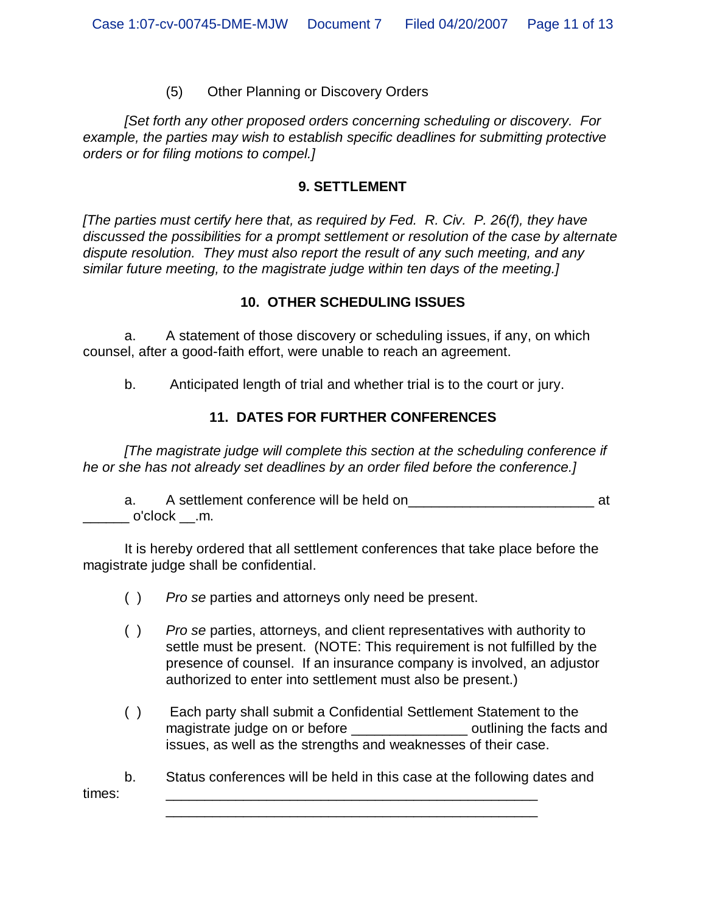#### (5) Other Planning or Discovery Orders

*[Set forth any other proposed orders concerning scheduling or discovery. For example, the parties may wish to establish specific deadlines for submitting protective orders or for filing motions to compel.]*

#### **9. SETTLEMENT**

*[The parties must certify here that, as required by Fed. R. Civ. P. 26(f), they have discussed the possibilities for a prompt settlement or resolution of the case by alternate dispute resolution. They must also report the result of any such meeting, and any similar future meeting, to the magistrate judge within ten days of the meeting.]*

#### **10. OTHER SCHEDULING ISSUES**

a. A statement of those discovery or scheduling issues, if any, on which counsel, after a good-faith effort, were unable to reach an agreement.

b. Anticipated length of trial and whether trial is to the court or jury.

### **11. DATES FOR FURTHER CONFERENCES**

*[The magistrate judge will complete this section at the scheduling conference if he or she has not already set deadlines by an order filed before the conference.]*

a. A settlement conference will be held on\_\_\_\_\_\_\_\_\_\_\_\_\_\_\_\_\_\_\_\_\_\_\_\_ at  $\_$  o'clock  $\_$ .m.

It is hereby ordered that all settlement conferences that take place before the magistrate judge shall be confidential.

- ( ) *Pro se* parties and attorneys only need be present.
- ( ) *Pro se* parties, attorneys, and client representatives with authority to settle must be present. (NOTE: This requirement is not fulfilled by the presence of counsel. If an insurance company is involved, an adjustor authorized to enter into settlement must also be present.)
- ( ) Each party shall submit a Confidential Settlement Statement to the magistrate judge on or before the section of continuing the facts and issues, as well as the strengths and weaknesses of their case.

b. Status conferences will be held in this case at the following dates and times: \_\_\_\_\_\_\_\_\_\_\_\_\_\_\_\_\_\_\_\_\_\_\_\_\_\_\_\_\_\_\_\_\_\_\_\_\_\_\_\_\_\_\_\_\_\_\_\_

\_\_\_\_\_\_\_\_\_\_\_\_\_\_\_\_\_\_\_\_\_\_\_\_\_\_\_\_\_\_\_\_\_\_\_\_\_\_\_\_\_\_\_\_\_\_\_\_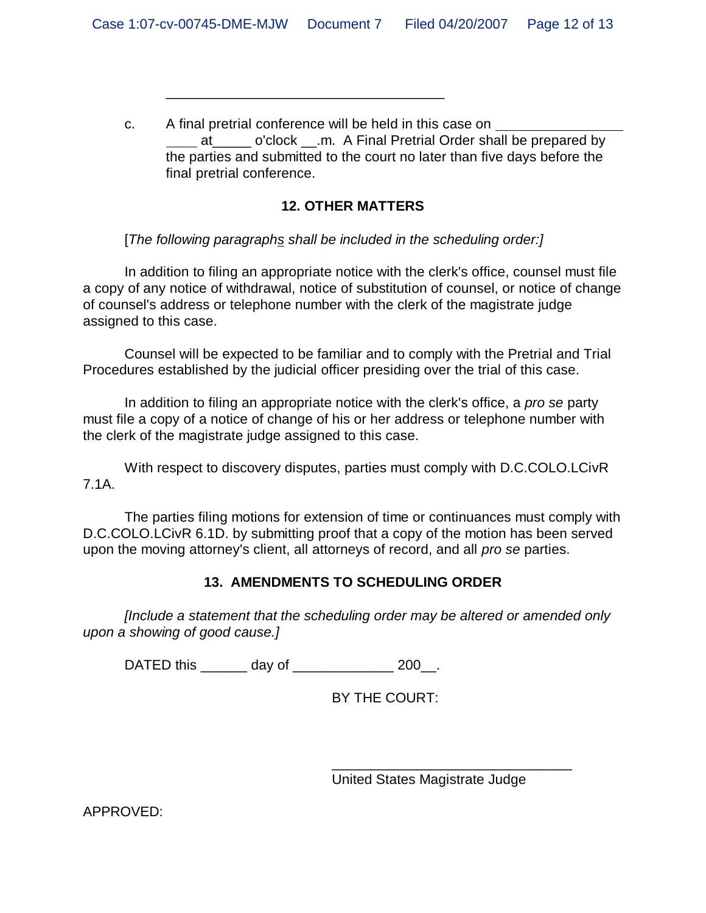c. A final pretrial conference will be held in this case on at o'clock .m. A Final Pretrial Order shall be prepared by the parties and submitted to the court no later than five days before the final pretrial conference.

# **12. OTHER MATTERS**

[*The following paragraphs shall be included in the scheduling order:]*

\_\_\_\_\_\_\_\_\_\_\_\_\_\_\_\_\_\_\_\_\_\_\_\_\_\_\_\_\_\_\_\_\_\_\_\_

In addition to filing an appropriate notice with the clerk's office, counsel must file a copy of any notice of withdrawal, notice of substitution of counsel, or notice of change of counsel's address or telephone number with the clerk of the magistrate judge assigned to this case.

Counsel will be expected to be familiar and to comply with the Pretrial and Trial Procedures established by the judicial officer presiding over the trial of this case.

In addition to filing an appropriate notice with the clerk's office, a *pro se* party must file a copy of a notice of change of his or her address or telephone number with the clerk of the magistrate judge assigned to this case.

With respect to discovery disputes, parties must comply with D.C.COLO.LCivR 7.1A.

The parties filing motions for extension of time or continuances must comply with D.C.COLO.LCivR 6.1D. by submitting proof that a copy of the motion has been served upon the moving attorney's client, all attorneys of record, and all *pro se* parties.

# **13. AMENDMENTS TO SCHEDULING ORDER**

*[Include a statement that the scheduling order may be altered or amended only upon a showing of good cause.]*

DATED this \_\_\_\_\_\_\_ day of \_\_\_\_\_\_\_\_\_\_\_\_\_\_\_ 200\_\_.

BY THE COURT:

United States Magistrate Judge

\_\_\_\_\_\_\_\_\_\_\_\_\_\_\_\_\_\_\_\_\_\_\_\_\_\_\_\_\_\_\_